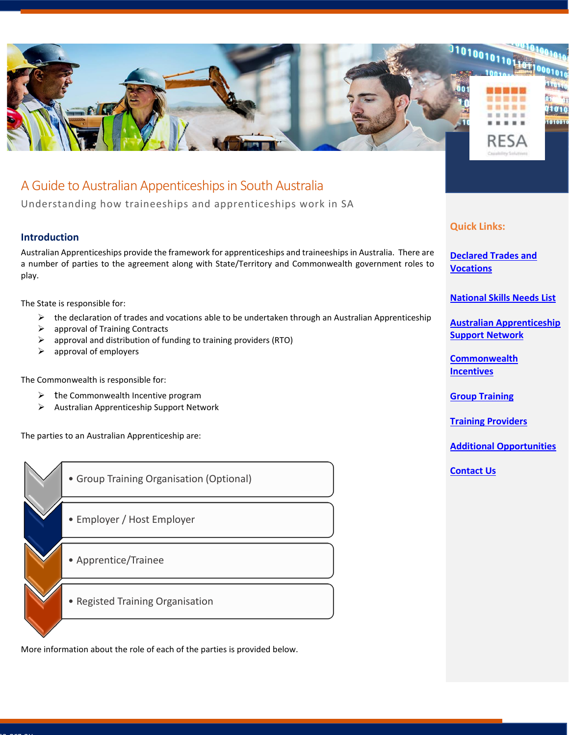

# A Guide to Australian Appenticeships in South Australia

Understanding how traineeships and apprenticeships work in SA

## **Introduction**

Australian Apprenticeships provide the framework for apprenticeships and traineeships in Australia. There are a number of parties to the agreement along with State/Territory and Commonwealth government roles to play.

The State is responsible for:

- $\triangleright$  the declaration of trades and vocations able to be undertaken through an Australian Apprenticeship
- $\triangleright$  approval of Training Contracts
- $\triangleright$  approval and distribution of funding to training providers (RTO)
- $\triangleright$  approval of employers

The Commonwealth is responsible for:

- $\triangleright$  the Commonwealth Incentive program
- ➢ Australian Apprenticeship Support Network

The parties to an Australian Apprenticeship are:



More information about the role of each of the parties is provided below.

## **Quick Links:**

**Declared [Trades and](#page-1-0)  [Vocations](#page-1-0)** 

**[National Skills Needs List](#page-1-1)**

**[Australian Apprenticeship](#page-1-2)  [Support Network](#page-1-2)**

**[Commonwealth](#page-1-3)  [Incentives](#page-1-3)**

**[Group Training](#page-1-4)**

**[Training Providers](#page-1-5)**

**[Additional Opportunities](#page-2-0)**

**[Contact Us](#page-2-1)**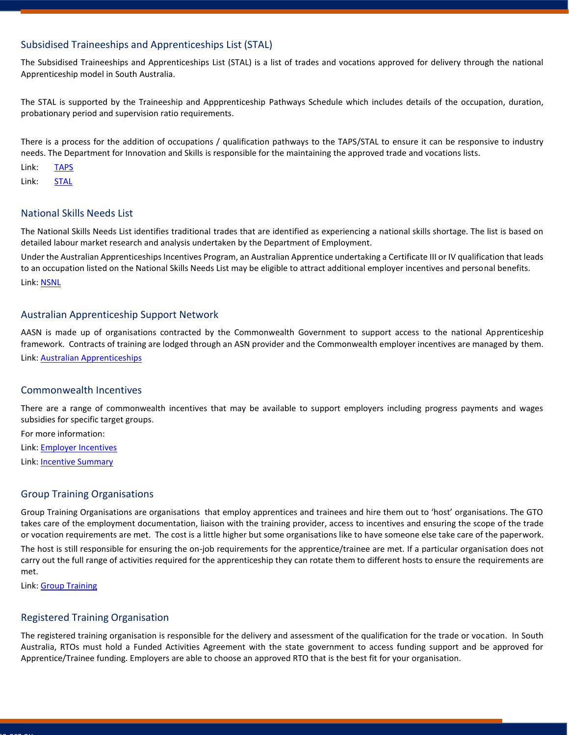## <span id="page-1-0"></span>Subsidised Traineeships and Apprenticeships List (STAL)

The Subsidised Traineeships and Apprenticeships List (STAL) is a list of trades and vocations approved for delivery through the national Apprenticeship model in South Australia.

The STAL is supported by the Traineeship and Appprenticeship Pathways Schedule which includes details of the occupation, duration, probationary period and supervision ratio requirements.

There is a process for the addition of occupations / qualification pathways to the TAPS/STAL to ensure it can be responsive to industry needs. The Department for Innovation and Skills is responsible for the maintaining the approved trade and vocations lists.

Link: [TAPS](https://providers.skills.sa.gov.au/DesktopModules/Bring2mind/DMX/API/Entries/Download?EntryId=907&Command=Core_Download&language=en-US&PortalId=1&TabId=941)

Link: [STAL](https://providers.skills.sa.gov.au/DesktopModules/Bring2mind/DMX/API/Entries/Download?Command=Core_Download&EntryId=1009&language=en-US&PortalId=1&TabId=911)

#### <span id="page-1-1"></span>National Skills Needs List

The National Skills Needs List identifies traditional trades that are identified as experiencing a national skills shortage. The list is based on detailed labour market research and analysis undertaken by the Department of Employment.

Under the Australian Apprenticeships Incentives Program, an Australian Apprentice undertaking a Certificate III or IV qualification that leads to an occupation listed on the National Skills Needs List may be eligible to attract additional employer incentives and personal benefits. Link[: NSNL](http://www.apprenticeshipsupport.com.au/ApprenticeshipSupport/media/asa/PDFs/AC-2111-ASA-National-Skills-Need-List_01.pdf)

#### <span id="page-1-2"></span>Australian Apprenticeship Support Network

AASN is made up of organisations contracted by the Commonwealth Government to support access to the national Apprenticeship framework. Contracts of training are lodged through an ASN provider and the Commonwealth employer incentives are managed by them.

Link[: Australian Apprenticeships](https://www.australianapprenticeships.gov.au/about-aasn)

#### <span id="page-1-3"></span>Commonwealth Incentives

There are a range of commonwealth incentives that may be available to support employers including progress payments and wages subsidies for specific target groups.

For more information:

Link[: Employer Incentives](https://www.australianapprenticeships.gov.au/aus-employer-incentives)

Link[: Incentive Summary](https://www.australianapprenticeships.gov.au/sites/default/files/2019-06/AAIP%20summary%20Final.pdf)

#### <span id="page-1-4"></span>Group Training Organisations

Group Training Organisations are organisations that employ apprentices and trainees and hire them out to 'host' organisations. The GTO takes care of the employment documentation, liaison with the training provider, access to incentives and ensuring the scope of the trade or vocation requirements are met. The cost is a little higher but some organisations like to have someone else take care of the paperwork. The host is still responsible for ensuring the on-job requirements for the apprentice/trainee are met. If a particular organisation does not carry out the full range of activities required for the apprenticeship they can rotate them to different hosts to ensure the requirements are met.

Link[: Group Training](https://www.australianapprenticeships.gov.au/group-training)

### <span id="page-1-5"></span>Registered Training Organisation

The registered training organisation is responsible for the delivery and assessment of the qualification for the trade or vocation. In South Australia, RTOs must hold a Funded Activities Agreement with the state government to access funding support and be approved for Apprentice/Trainee funding. Employers are able to choose an approved RTO that is the best fit for your organisation.